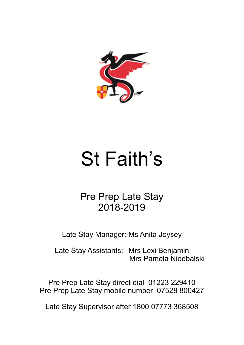

# St Faith's

Pre Prep Late Stay 2018-2019

Late Stay Manager: Ms Anita Joysey

Late Stay Assistants: Mrs Lexi Benjamin Mrs Pamela Niedbalski

Pre Prep Late Stay direct dial 01223 229410 Pre Prep Late Stay mobile number 07528 800427

Late Stay Supervisor after 1800 07773 368508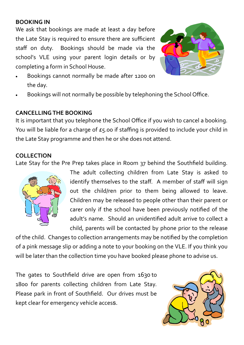#### **BOOKING IN**

We ask that bookings are made at least a day before the Late Stay is required to ensure there are sufficient staff on duty. Bookings should be made via the school's VLE using your parent login details or by completing a form in School House.



- Bookings cannot normally be made after 1200 on the day.
- Bookings will not normally be possible by telephoning the School Office.

#### **CANCELLING THE BOOKING**

It is important that you telephone the School Office if you wish to cancel a booking. You will be liable for a charge of £5.00 if staffing is provided to include your child in the Late Stay programme and then he or she does not attend.

#### **COLLECTION**

Late Stay for the Pre Prep takes place in Room 37 behind the Southfield building.



The adult collecting children from Late Stay is asked to identify themselves to the staff. A member of staff will sign out the child/ren prior to them being allowed to leave. Children may be released to people other than their parent or carer only if the school have been previously notified of the adult's name. Should an unidentified adult arrive to collect a child, parents will be contacted by phone prior to the release

of the child. Changes to collection arrangements may be notified by the completion of a pink message slip or adding a note to your booking on the VLE. If you think you will be later than the collection time you have booked please phone to advise us.

The gates to Southfield drive are open from 1630 to 1800 for parents collecting children from Late Stay. Please park in front of Southfield. Our drives must be kept clear for emergency vehicle access.